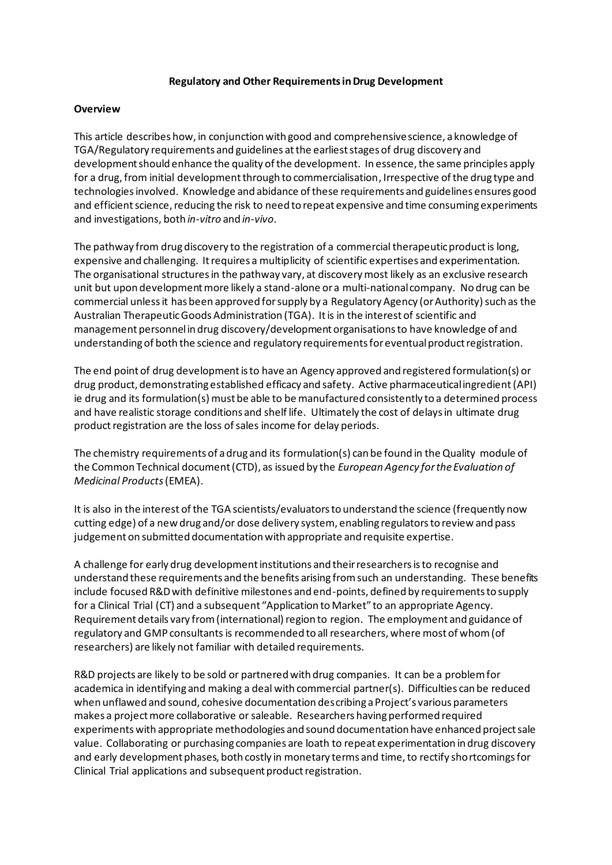#### **Regulatory and Other Requirements in Drug Development**

### **Overview**

This article describes how, in conjunction with good and comprehensive science, a knowledge of TGA/Regulatory requirements and guidelines at the earliest stages of drug discovery and development should enhance the quality of the development. In essence, the same principles apply for a drug, from initial development through to commercialisation, Irrespective of the drug type and technologies involved. Knowledge and abidance of these requirements and guidelines ensures good and efficient science, reducing the risk to need to repeat expensive and time consuming experiments and investigations, both *in-vitro* and *in-vivo*.

The pathway from drug discovery to the registration of a commercial therapeutic product is long, expensive and challenging. It requires a multiplicity of scientific expertises and experimentation. The organisational structures in the pathway vary, at discovery most likely as an exclusive research unit but upon development more likely a stand-alone or a multi-national company. No drug can be commercial unless it has been approved for supply by a Regulatory Agency (or Authority) such as the Australian Therapeutic Goods Administration (TGA). It is in the interest of scientific and management personnel in drug discovery/development organisations to have knowledge of and understanding of both the science and regulatory requirements for eventual product registration.

The end point of drug development is to have an Agency approved and registered formulation(s) or drug product, demonstrating established efficacy and safety. Active pharmaceutical ingredient(API) ie drug and its formulation(s) must be able to be manufactured consistently to a determined process and have realistic storage conditions and shelf life. Ultimately the cost of delays in ultimate drug product registration are the loss of sales income for delay periods.

The chemistry requirements of a drug and its formulation(s) can be found in the Quality module of the Common Technical document (CTD), as issued by the *European Agency for the Evaluation of Medicinal Products*(EMEA).

It is also in the interest of the TGA scientists/evaluators to understand the science (frequently now cutting edge) of a new drug and/or dose delivery system, enabling regulators to review and pass judgement on submitted documentation with appropriate and requisite expertise.

A challenge for early drug development institutions and their researchers is to recognise and understand these requirements and the benefits arising from such an understanding. These benefits include focused R&D with definitive milestones and end-points, defined by requirements to supply for a Clinical Trial (CT) and a subsequent "Application to Market" to an appropriate Agency. Requirement details vary from (international) region to region. The employment and guidance of regulatory and GMP consultantsis recommended to all researchers, where most of whom (of researchers) are likely not familiar with detailed requirements.

R&D projects are likely to be sold or partnered with drug companies. It can be a problem for academica in identifying and making a deal with commercial partner(s). Difficulties can be reduced when unflawed and sound, cohesive documentation describing a Project's various parameters makes a project more collaborative or saleable. Researchers having performed required experiments with appropriate methodologies and sound documentation have enhanced project sale value. Collaborating or purchasing companies are loath to repeat experimentation in drug discovery and early development phases, both costly in monetary terms and time, to rectify shortcomings for Clinical Trial applications and subsequent product registration.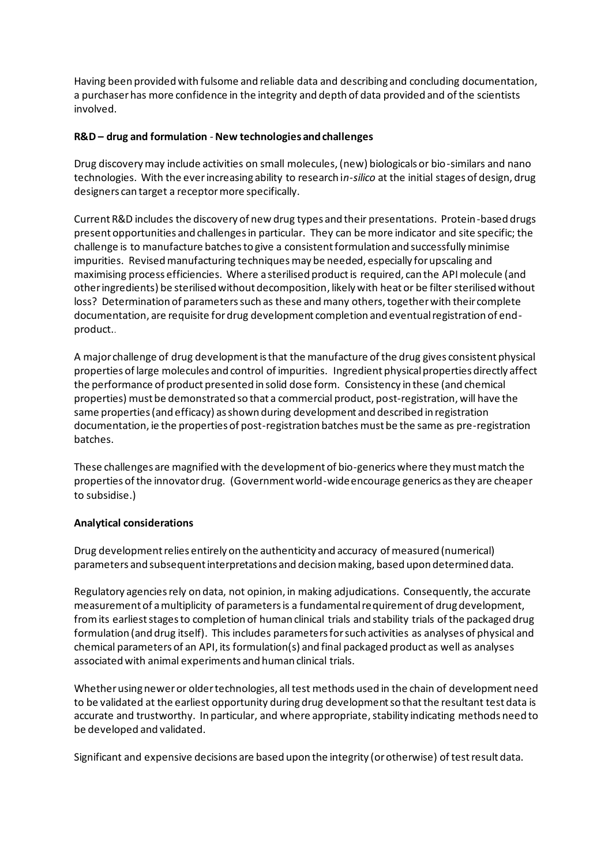Having been provided with fulsome and reliable data and describing and concluding documentation, a purchaser has more confidence in the integrity and depth of data provided and of the scientists involved.

# **R&D – drug and formulation** -**New technologies and challenges**

Drug discovery may include activities on small molecules, (new) biologicals or bio-similars and nano technologies. With the ever increasing ability to research i*n-silico* at the initial stages of design, drug designers can target a receptor more specifically.

Current R&D includes the discovery of new drug types and their presentations. Protein-based drugs present opportunities and challenges in particular. They can be more indicator and site specific; the challenge is to manufacture batches to give a consistent formulation and successfully minimise impurities. Revised manufacturing techniquesmay be needed, especially for upscaling and maximising process efficiencies. Where a sterilised product is required, can the API molecule (and other ingredients) be sterilised without decomposition, likely with heat or be filter sterilised without loss? Determination of parameters such as these and many others, together with their complete documentation, are requisite for drug development completion and eventual registration of endproduct..

A major challenge of drug development is that the manufacture of the drug gives consistent physical properties of large molecules and control of impurities. Ingredient physical properties directly affect the performance of product presented in solid dose form. Consistency in these (and chemical properties) must be demonstrated so that a commercial product, post-registration, will have the same properties (and efficacy) as shown during development and described in registration documentation, ie the properties of post-registration batches must be the same as pre-registration batches.

These challenges are magnified with the development of bio-generics where they must match the properties of the innovator drug. (Government world-wide encourage generics as they are cheaper to subsidise.)

# **Analytical considerations**

Drug development relies entirely on the authenticity and accuracy of measured (numerical) parameters and subsequent interpretations and decision making, based upon determined data.

Regulatory agencies rely on data, not opinion, in making adjudications. Consequently, the accurate measurement of a multiplicity of parameters is a fundamental requirement of drug development, from its earliest stages to completion of human clinical trials and stability trials of the packaged drug formulation (and drug itself). This includes parameters for such activities as analyses of physical and chemical parameters of an API, its formulation(s) and final packaged product as well as analyses associated with animal experiments and human clinical trials.

Whether using newer or older technologies, all test methods used in the chain of development need to be validated at the earliest opportunity during drug development so that the resultant test data is accurate and trustworthy. In particular, and where appropriate, stability indicating methods need to be developed and validated.

Significant and expensive decisions are based upon the integrity (or otherwise) of test result data.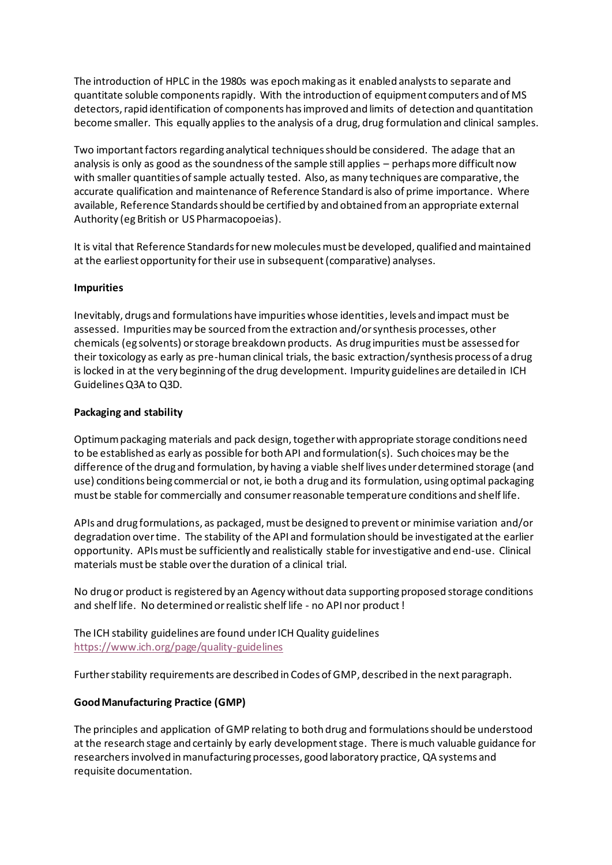The introduction of HPLC in the 1980s was epoch making as it enabled analysts to separate and quantitate soluble componentsrapidly. With the introduction of equipment computers and of MS detectors, rapid identification of components has improved and limits of detection and quantitation become smaller. This equally applies to the analysis of a drug, drug formulation and clinical samples.

Two important factors regarding analytical techniques should be considered. The adage that an analysis is only as good as the soundness of the sample still applies – perhaps more difficult now with smaller quantities of sample actually tested. Also, as many techniques are comparative, the accurate qualification and maintenance of Reference Standard is also of prime importance. Where available, Reference Standards should be certified by and obtained from an appropriate external Authority (eg British or US Pharmacopoeias).

It is vital that Reference Standards for new molecules must be developed, qualified and maintained at the earliest opportunity for their use in subsequent (comparative) analyses.

### **Impurities**

Inevitably, drugs and formulations have impurities whose identities, levels and impact must be assessed. Impurities may be sourced from the extraction and/or synthesis processes, other chemicals (eg solvents) or storage breakdown products. As drug impurities must be assessed for their toxicology as early as pre-human clinical trials, the basic extraction/synthesis process of a drug is locked in at the very beginning of the drug development. Impurity guidelines are detailed in ICH Guidelines Q3A to Q3D.

### **Packaging and stability**

Optimum packaging materials and pack design, together with appropriate storage conditions need to be established as early as possible for both API and formulation(s). Such choices may be the difference of the drug and formulation, by having a viable shelf lives under determined storage (and use) conditions being commercial or not, ie both a drug and its formulation, using optimal packaging must be stable for commercially and consumer reasonable temperature conditions and shelf life.

APIs and drug formulations, as packaged, must be designed to prevent or minimise variation and/or degradation over time. The stability of the API and formulation should be investigated at the earlier opportunity. APIs must be sufficiently and realistically stable for investigative and end-use. Clinical materials must be stable over the duration of a clinical trial.

No drug or product is registered by an Agency without data supporting proposed storage conditions and shelf life. No determined or realistic shelf life - no API nor product !

The ICH stability guidelines are found under ICH Quality guidelines <https://www.ich.org/page/quality-guidelines>

Further stability requirements are described in Codes of GMP, described in the next paragraph.

# **Good Manufacturing Practice (GMP)**

The principles and application of GMP relating to both drug and formulations should be understood at the research stage and certainly by early development stage. There is much valuable guidance for researchers involved in manufacturing processes, good laboratory practice, QA systems and requisite documentation.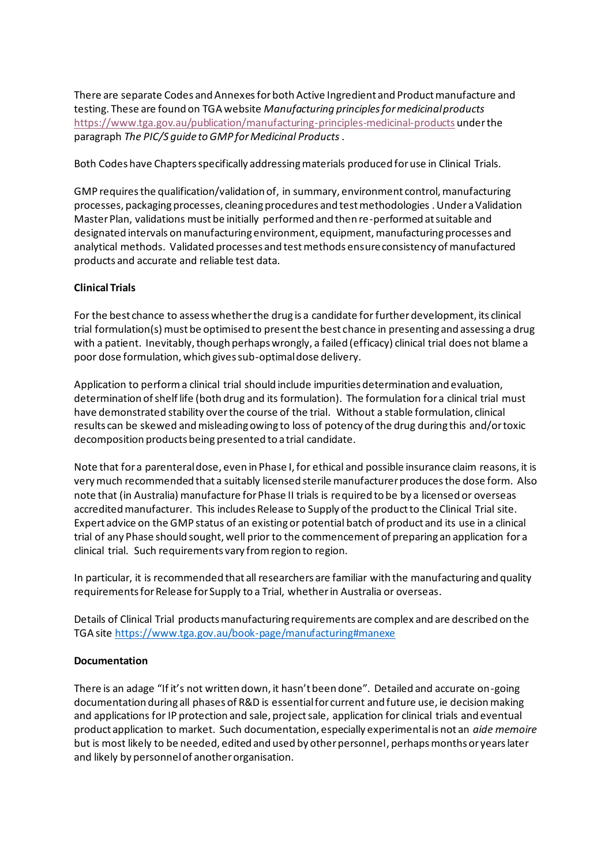There are separate Codes and Annexes forboth Active Ingredient and Product manufacture and testing. These are found on TGA website *Manufacturing principles for medicinal products* <https://www.tga.gov.au/publication/manufacturing-principles-medicinal-products> under the paragraph *The PIC/S guide to GMP for Medicinal Products* .

Both Codes have Chapters specifically addressing materials produced for use in Clinical Trials.

GMP requires the qualification/validation of, in summary, environment control, manufacturing processes, packaging processes, cleaning procedures and test methodologies . Under a Validation Master Plan, validations must be initially performed and then re-performed at suitable and designated intervals on manufacturing environment, equipment, manufacturing processes and analytical methods. Validated processes and test methods ensure consistency of manufactured products and accurate and reliable test data.

### **Clinical Trials**

For the best chance to assess whether the drug is a candidate for further development, its clinical trial formulation(s) must be optimised to present the best chance in presenting and assessing a drug with a patient. Inevitably, though perhaps wrongly, a failed (efficacy) clinical trial does not blame a poor dose formulation, which gives sub-optimal dose delivery.

Application to perform a clinical trial should include impurities determination and evaluation, determination of shelf life (both drug and its formulation). The formulation for a clinical trial must have demonstrated stability over the course of the trial. Without a stable formulation, clinical results can be skewed and misleading owing to loss of potency of the drug during this and/or toxic decomposition products being presented to a trial candidate.

Note that for a parenteral dose, even in Phase I, for ethical and possible insurance claim reasons, it is very much recommended that a suitably licensed sterile manufacturer produces the dose form. Also note that (in Australia) manufacture for Phase II trials is required to be by a licensed or overseas accredited manufacturer. This includes Release to Supply of the product to the Clinical Trial site. Expert advice on the GMP status of an existing or potential batch of product and its use in a clinical trial of any Phase should sought, well prior to the commencement of preparing an application for a clinical trial. Such requirements vary from region to region.

In particular, it is recommended that all researchers are familiar with the manufacturing and quality requirements for Release for Supply to a Trial, whether in Australia or overseas.

Details of Clinical Trial products manufacturing requirements are complex and are described on the TGA sit[e https://www.tga.gov.au/book-page/manufacturing#manexe](https://www.tga.gov.au/book-page/manufacturing#manexe)

#### **Documentation**

There is an adage "If it's not written down, it hasn't been done". Detailed and accurate on-going documentation during all phases of R&D is essential for current and future use, ie decision making and applications for IP protection and sale, project sale, application for clinical trials and eventual product application to market. Such documentation, especially experimental is not an *aide memoire* but is most likely to be needed, edited and used by other personnel, perhaps months or years later and likely by personnel of another organisation.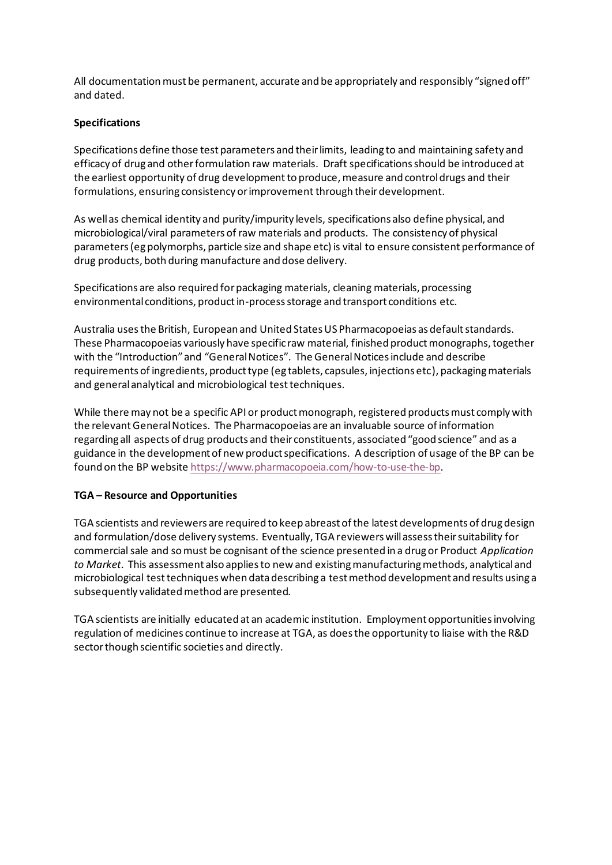All documentation must be permanent, accurate and be appropriately and responsibly "signed off" and dated.

### **Specifications**

Specifications define those test parameters and their limits, leading to and maintaining safety and efficacy of drug and other formulation raw materials. Draft specifications should be introduced at the earliest opportunity of drug development to produce, measure and control drugs and their formulations, ensuring consistency or improvement through their development.

As well as chemical identity and purity/impurity levels, specifications also define physical, and microbiological/viral parameters of raw materials and products. The consistency of physical parameters (eg polymorphs, particle size and shape etc) is vital to ensure consistent performance of drug products, both during manufacture and dose delivery.

Specifications are also required for packaging materials, cleaning materials, processing environmental conditions, product in-process storage and transport conditions etc.

Australia uses the British, European and United States US Pharmacopoeias as default standards. These Pharmacopoeias variously have specific raw material, finished product monographs, together with the "Introduction" and "General Notices". The General Notices include and describe requirements of ingredients, product type (eg tablets, capsules, injections etc), packaging materials and general analytical and microbiological test techniques.

While there may not be a specific API or product monograph, registered products must comply with the relevant General Notices. The Pharmacopoeias are an invaluable source of information regarding all aspects of drug products and their constituents, associated "good science" and as a guidance in the development of new product specifications. A description of usage of the BP can be found on the BP websit[e https://www.pharmacopoeia.com/how-to-use-the-bp](https://www.pharmacopoeia.com/how-to-use-the-bp).

#### **TGA – Resource and Opportunities**

TGA scientists and reviewers are required to keep abreast of the latest developments of drug design and formulation/dose delivery systems. Eventually, TGA reviewers will assess their suitability for commercial sale and so must be cognisant of the science presented in a drug or Product *Application to Market*. This assessment also applies to new and existing manufacturing methods, analytical and microbiological test techniques when data describing a test method development and results using a subsequently validated method are presented.

TGA scientists are initially educated at an academic institution. Employment opportunities involving regulation of medicines continue to increase at TGA, as does the opportunity to liaise with the R&D sector though scientific societies and directly.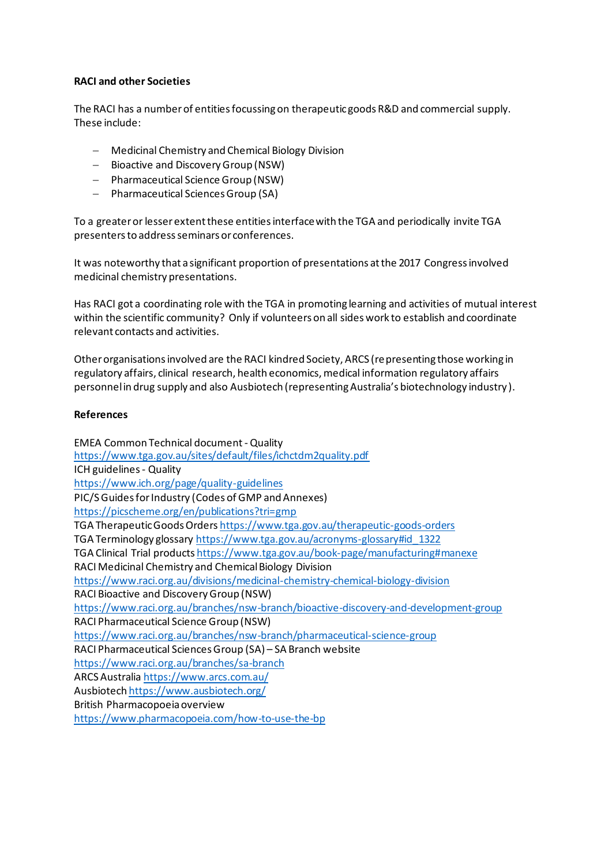## **RACI and other Societies**

The RACI has a number of entities focussing on therapeutic goods R&D and commercial supply. These include:

- − Medicinal Chemistry and Chemical Biology Division
- − Bioactive and Discovery Group (NSW)
- − Pharmaceutical Science Group (NSW)
- − Pharmaceutical Sciences Group (SA)

To a greater or lesser extent these entities interface with the TGA and periodically invite TGA presenters to address seminars or conferences.

It was noteworthy that a significant proportion of presentations at the 2017 Congress involved medicinal chemistry presentations.

Has RACI got a coordinating role with the TGA in promoting learning and activities of mutual interest within the scientific community? Only if volunteers on all sides work to establish and coordinate relevant contacts and activities.

Other organisations involved are the RACI kindred Society, ARCS (representing those working in regulatory affairs, clinical research, health economics, medical information regulatory affairs personnel in drug supply and also Ausbiotech (representing Australia's biotechnology industry ).

#### **References**

EMEA Common Technical document -Quality <https://www.tga.gov.au/sites/default/files/ichctdm2quality.pdf> ICH guidelines- Quality <https://www.ich.org/page/quality-guidelines> PIC/S Guides for Industry (Codes of GMP and Annexes) <https://picscheme.org/en/publications?tri=gmp> TGA Therapeutic Goods Orders <https://www.tga.gov.au/therapeutic-goods-orders> TGA Terminology glossar[y https://www.tga.gov.au/acronyms-glossary#id\\_1322](https://www.tga.gov.au/acronyms-glossary#id_1322) TGA Clinical Trial product[s https://www.tga.gov.au/book-page/manufacturing#manexe](https://www.tga.gov.au/book-page/manufacturing#manexe) RACI Medicinal Chemistry and Chemical Biology Division <https://www.raci.org.au/divisions/medicinal-chemistry-chemical-biology-division> RACI Bioactive and Discovery Group (NSW) <https://www.raci.org.au/branches/nsw-branch/bioactive-discovery-and-development-group> RACI Pharmaceutical Science Group (NSW) <https://www.raci.org.au/branches/nsw-branch/pharmaceutical-science-group> RACI Pharmaceutical Sciences Group (SA) – SA Branch website <https://www.raci.org.au/branches/sa-branch> ARCS Australia <https://www.arcs.com.au/> Ausbiotech <https://www.ausbiotech.org/> British Pharmacopoeia overview <https://www.pharmacopoeia.com/how-to-use-the-bp>